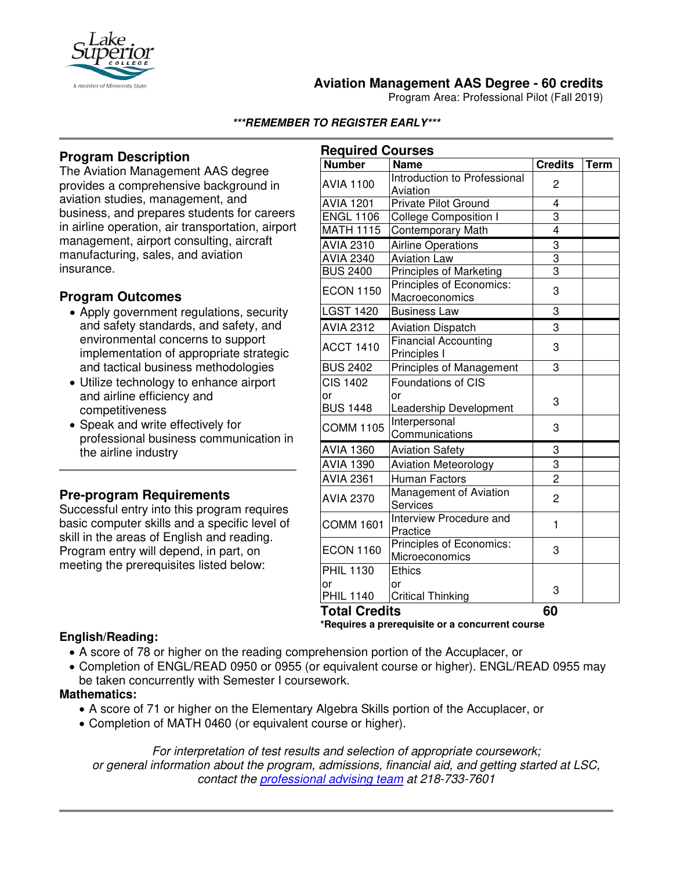

# **Aviation Management AAS Degree - 60 credits**

Program Area: Professional Pilot (Fall 2019)

#### **\*\*\*REMEMBER TO REGISTER EARLY\*\*\***

## **Program Description**

The Aviation Management AAS degree provides a comprehensive background in aviation studies, management, and business, and prepares students for careers in airline operation, air transportation, airport management, airport consulting, aircraft manufacturing, sales, and aviation insurance.

## **Program Outcomes**

- Apply government regulations, security and safety standards, and safety, and environmental concerns to support implementation of appropriate strategic and tactical business methodologies
- Utilize technology to enhance airport and airline efficiency and competitiveness
- Speak and write effectively for professional business communication in the airline industry

### **Pre-program Requirements**

Successful entry into this program requires basic computer skills and a specific level of skill in the areas of English and reading. Program entry will depend, in part, on meeting the prerequisites listed below:

| <b>Required Courses</b>   |                                             |                |             |
|---------------------------|---------------------------------------------|----------------|-------------|
| <b>Number</b>             | <b>Name</b>                                 | <b>Credits</b> | <b>Term</b> |
| <b>AVIA 1100</b>          | Introduction to Professional<br>Aviation    | 2              |             |
| <b>AVIA 1201</b>          | <b>Private Pilot Ground</b>                 | 4              |             |
| <b>ENGL 1106</b>          | <b>College Composition I</b>                | 3              |             |
| <b>MATH 1115</b>          | <b>Contemporary Math</b>                    | $\overline{4}$ |             |
| <b>AVIA 2310</b>          | <b>Airline Operations</b>                   | $\frac{3}{3}$  |             |
| <b>AVIA 2340</b>          | <b>Aviation Law</b>                         |                |             |
| <b>BUS 2400</b>           | <b>Principles of Marketing</b>              | $\overline{3}$ |             |
| <b>ECON 1150</b>          | Principles of Economics:<br>Macroeconomics  | 3              |             |
| <b>LGST 1420</b>          | <b>Business Law</b>                         | 3              |             |
| <b>AVIA 2312</b>          | <b>Aviation Dispatch</b>                    | 3              |             |
| <b>ACCT 1410</b>          | <b>Financial Accounting</b><br>Principles I | 3              |             |
| <b>BUS 2402</b>           | Principles of Management                    | 3              |             |
| <b>CIS 1402</b>           | <b>Foundations of CIS</b>                   |                |             |
| or<br><b>BUS 1448</b>     | or<br>Leadership Development                | 3              |             |
| <b>COMM 1105</b>          | Interpersonal<br>Communications             | 3              |             |
| <b>AVIA 1360</b>          | <b>Aviation Safety</b>                      | 3              |             |
| <b>AVIA 1390</b>          | <b>Aviation Meteorology</b>                 | 3              |             |
| <b>AVIA 2361</b>          | Human Factors                               | $\overline{2}$ |             |
| <b>AVIA 2370</b>          | Management of Aviation<br>Services          | $\overline{2}$ |             |
| <b>COMM 1601</b>          | Interview Procedure and<br>Practice         | 1              |             |
| <b>ECON 1160</b>          | Principles of Economics:<br>Microeconomics  | 3              |             |
| <b>PHIL 1130</b>          | <b>Ethics</b>                               |                |             |
| or<br><b>PHIL 1140</b>    | or<br><b>Critical Thinking</b>              | 3              |             |
| ودام<br>$1 - 1 - 1$<br>т. |                                             |                |             |

### **Total Credits 60**

**\*Requires a prerequisite or a concurrent course**

### **English/Reading:**

- A score of 78 or higher on the reading comprehension portion of the Accuplacer, or
- Completion of ENGL/READ 0950 or 0955 (or equivalent course or higher). ENGL/READ 0955 may be taken concurrently with Semester I coursework.

### **Mathematics:**

- A score of 71 or higher on the Elementary Algebra Skills portion of the Accuplacer, or
- Completion of MATH 0460 (or equivalent course or higher).

*For interpretation of test results and selection of appropriate coursework; or general information about the program, admissions, financial aid, and getting started at LSC, contact the [professional advising team](mailto:pat@lsc.edu) at 218-733-7601*